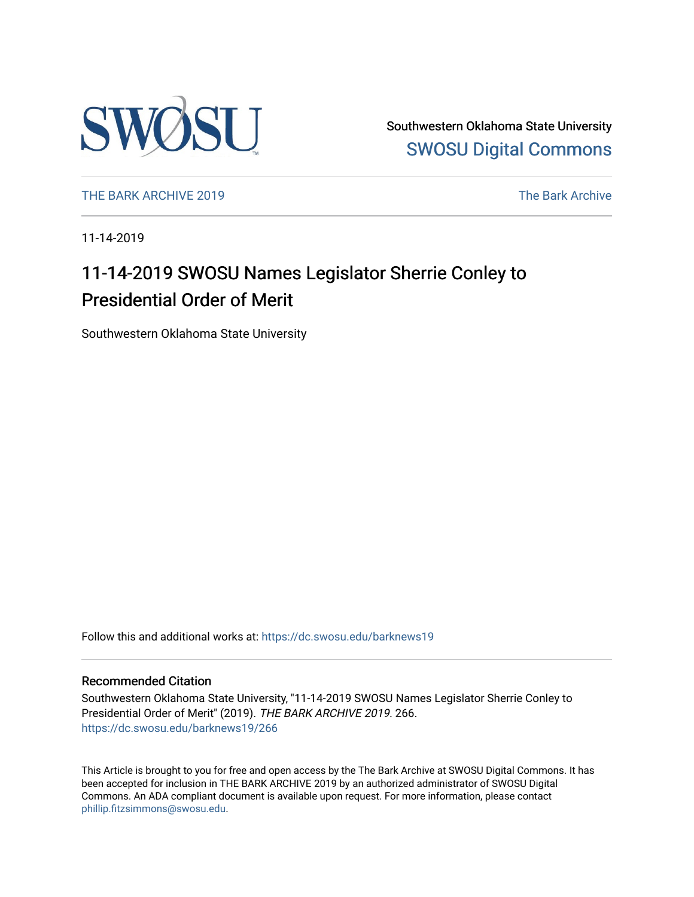

Southwestern Oklahoma State University [SWOSU Digital Commons](https://dc.swosu.edu/) 

[THE BARK ARCHIVE 2019](https://dc.swosu.edu/barknews19) The Bark Archive

11-14-2019

# 11-14-2019 SWOSU Names Legislator Sherrie Conley to Presidential Order of Merit

Southwestern Oklahoma State University

Follow this and additional works at: [https://dc.swosu.edu/barknews19](https://dc.swosu.edu/barknews19?utm_source=dc.swosu.edu%2Fbarknews19%2F266&utm_medium=PDF&utm_campaign=PDFCoverPages)

#### Recommended Citation

Southwestern Oklahoma State University, "11-14-2019 SWOSU Names Legislator Sherrie Conley to Presidential Order of Merit" (2019). THE BARK ARCHIVE 2019. 266. [https://dc.swosu.edu/barknews19/266](https://dc.swosu.edu/barknews19/266?utm_source=dc.swosu.edu%2Fbarknews19%2F266&utm_medium=PDF&utm_campaign=PDFCoverPages)

This Article is brought to you for free and open access by the The Bark Archive at SWOSU Digital Commons. It has been accepted for inclusion in THE BARK ARCHIVE 2019 by an authorized administrator of SWOSU Digital Commons. An ADA compliant document is available upon request. For more information, please contact [phillip.fitzsimmons@swosu.edu](mailto:phillip.fitzsimmons@swosu.edu).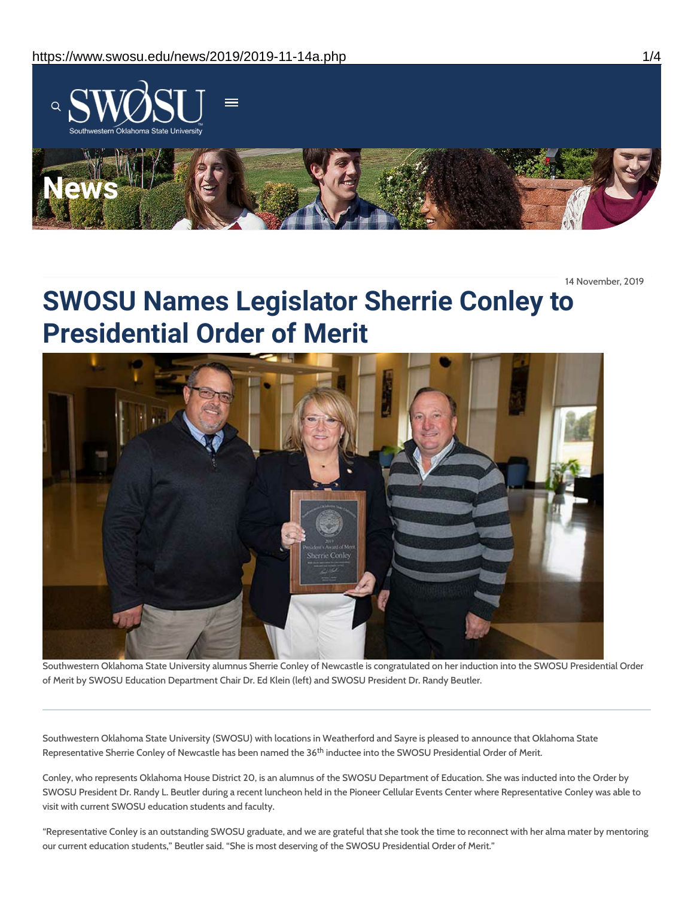

14 November, 2019

# **SWOSU Names Legislator Sherrie Conley to Presidential Order of Merit**



Southwestern Oklahoma State University alumnus Sherrie Conley of Newcastle is congratulated on her induction into the SWOSU Presidential Order of Merit by SWOSU Education Department Chair Dr. Ed Klein (left) and SWOSU President Dr. Randy Beutler.

Southwestern Oklahoma State University (SWOSU) with locations in Weatherford and Sayre is pleased to announce that Oklahoma State Representative Sherrie Conley of Newcastle has been named the 36 $^{\rm th}$  inductee into the SWOSU Presidential Order of Merit.

Conley, who represents Oklahoma House District 20, is an alumnus of the SWOSU Department of Education. She was inducted into the Order by SWOSU President Dr. Randy L. Beutler during a recent luncheon held in the Pioneer Cellular Events Center where Representative Conley was able to visit with current SWOSU education students and faculty.

"Representative Conley is an outstanding SWOSU graduate, and we are grateful that she took the time to reconnect with her alma mater by mentoring our current education students," Beutler said. "She is most deserving of the SWOSU Presidential Order of Merit."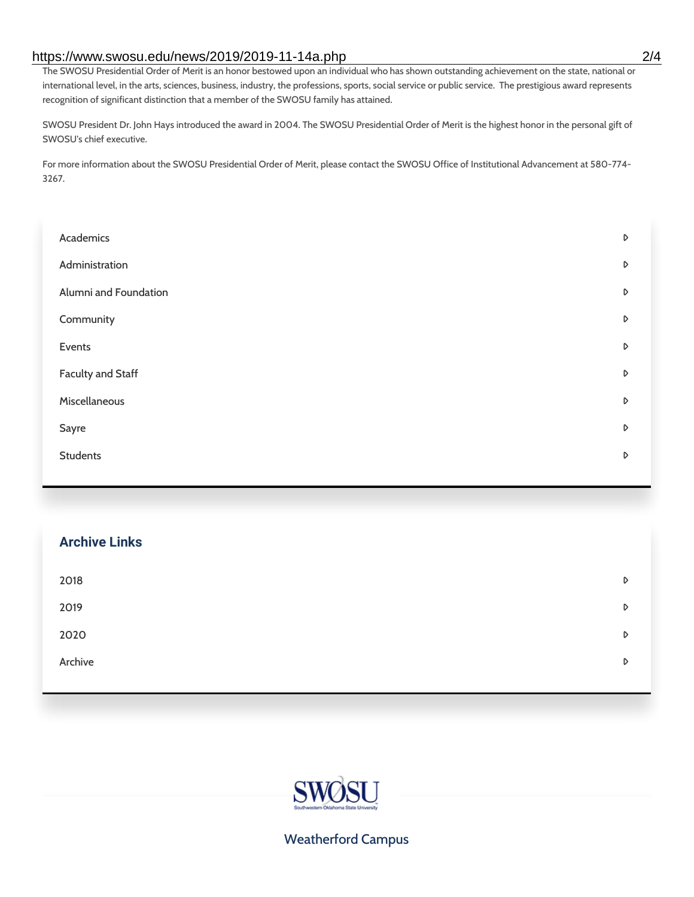#### https://www.swosu.edu/news/2019/2019-11-14a.php 2/4

The SWOSU Presidential Order of Merit is an honor bestowed upon an individual who has shown outstanding achievement on the state, national or international level, in the arts, sciences, business, industry, the professions, sports, social service or public service. The prestigious award represents recognition of significant distinction that a member of the SWOSU family has attained.

SWOSU President Dr. John Hays introduced the award in 2004. The SWOSU Presidential Order of Merit is the highest honor in the personal gift of SWOSU's chief executive.

For more information about the SWOSU Presidential Order of Merit, please contact the SWOSU Office of Institutional Advancement at 580-774- 3267.

| Academics                | D                |
|--------------------------|------------------|
| Administration           | D                |
| Alumni and Foundation    | D                |
| Community                | D                |
| Events                   | $\triangleright$ |
| <b>Faculty and Staff</b> | D                |
| Miscellaneous            | D                |
| Sayre                    | D                |
| <b>Students</b>          | D                |
|                          |                  |

| <b>Archive Links</b> |   |
|----------------------|---|
| 2018                 | D |
| 2019                 | D |
| 2020                 | D |
| Archive              | D |
|                      |   |



## Weatherford Campus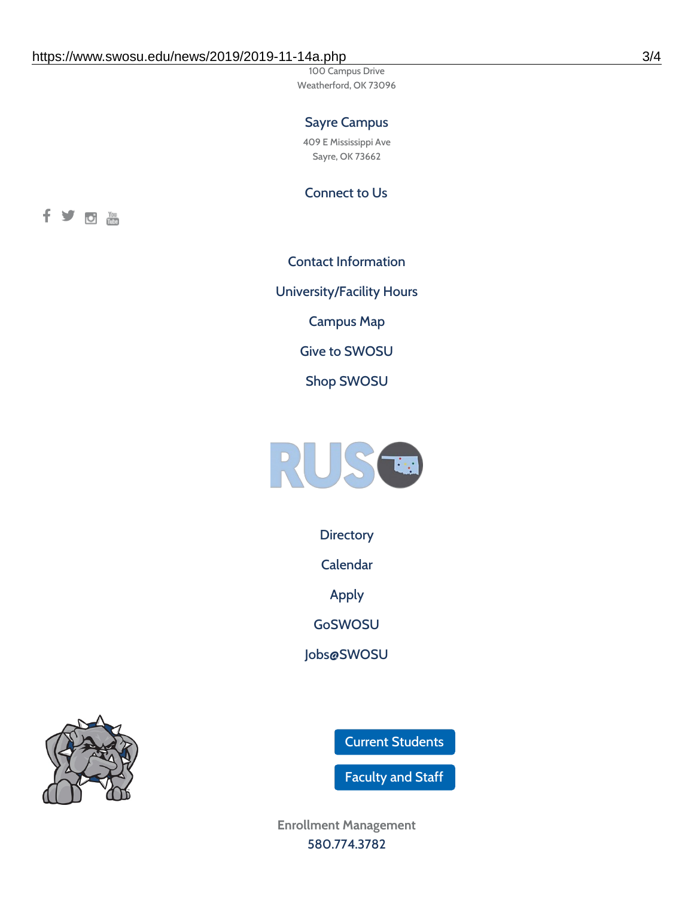100 Campus Drive Weatherford, OK 73096

## Sayre Campus

409 E Mississippi Ave Sayre, OK 73662

Connect to Us



Contact [Information](https://www.swosu.edu/about/contact.php) [University/Facility](https://www.swosu.edu/about/operating-hours.php) Hours [Campus](https://map.concept3d.com/?id=768#!ct/10964,10214,10213,10212,10205,10204,10203,10202,10136,10129,10128,0,31226,10130,10201,10641,0) Map Give to [SWOSU](https://standingfirmly.com/donate) Shop [SWOSU](https://shopswosu.merchorders.com/)



**[Directory](https://www.swosu.edu/directory/index.php)** 

[Calendar](https://eventpublisher.dudesolutions.com/swosu/)

[Apply](https://www.swosu.edu/admissions/apply-to-swosu.php)

[GoSWOSU](https://qlsso.quicklaunchsso.com/home/1267)

[Jobs@SWOSU](https://swosu.csod.com/ux/ats/careersite/1/home?c=swosu)

Current [Students](https://bulldog.swosu.edu/index.php)

[Faculty](https://bulldog.swosu.edu/faculty-staff/index.php) and Staff

**Enrollment Management** [580.774.3782](tel:5807743782)